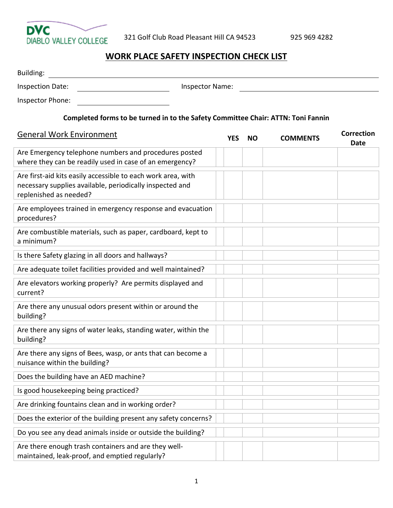

## **WORK PLACE SAFETY INSPECTION CHECK LIST**

| Building:                                                                                                                                          |                        |            |           |                 |                                  |
|----------------------------------------------------------------------------------------------------------------------------------------------------|------------------------|------------|-----------|-----------------|----------------------------------|
| <b>Inspection Date:</b>                                                                                                                            | <b>Inspector Name:</b> |            |           |                 |                                  |
| Inspector Phone:                                                                                                                                   |                        |            |           |                 |                                  |
| Completed forms to be turned in to the Safety Committee Chair: ATTN: Toni Fannin                                                                   |                        |            |           |                 |                                  |
| <b>General Work Environment</b>                                                                                                                    |                        | <b>YES</b> | <b>NO</b> | <b>COMMENTS</b> | <b>Correction</b><br><b>Date</b> |
| Are Emergency telephone numbers and procedures posted<br>where they can be readily used in case of an emergency?                                   |                        |            |           |                 |                                  |
| Are first-aid kits easily accessible to each work area, with<br>necessary supplies available, periodically inspected and<br>replenished as needed? |                        |            |           |                 |                                  |
| Are employees trained in emergency response and evacuation<br>procedures?                                                                          |                        |            |           |                 |                                  |
| Are combustible materials, such as paper, cardboard, kept to<br>a minimum?                                                                         |                        |            |           |                 |                                  |
| Is there Safety glazing in all doors and hallways?                                                                                                 |                        |            |           |                 |                                  |
| Are adequate toilet facilities provided and well maintained?                                                                                       |                        |            |           |                 |                                  |
| Are elevators working properly? Are permits displayed and<br>current?                                                                              |                        |            |           |                 |                                  |
| Are there any unusual odors present within or around the<br>building?                                                                              |                        |            |           |                 |                                  |
| Are there any signs of water leaks, standing water, within the<br>building?                                                                        |                        |            |           |                 |                                  |
| Are there any signs of Bees, wasp, or ants that can become a<br>nuisance within the building?                                                      |                        |            |           |                 |                                  |
| Does the building have an AED machine?                                                                                                             |                        |            |           |                 |                                  |
| Is good housekeeping being practiced?                                                                                                              |                        |            |           |                 |                                  |
| Are drinking fountains clean and in working order?                                                                                                 |                        |            |           |                 |                                  |
| Does the exterior of the building present any safety concerns?                                                                                     |                        |            |           |                 |                                  |
| Do you see any dead animals inside or outside the building?                                                                                        |                        |            |           |                 |                                  |
| Are there enough trash containers and are they well-<br>maintained, leak-proof, and emptied regularly?                                             |                        |            |           |                 |                                  |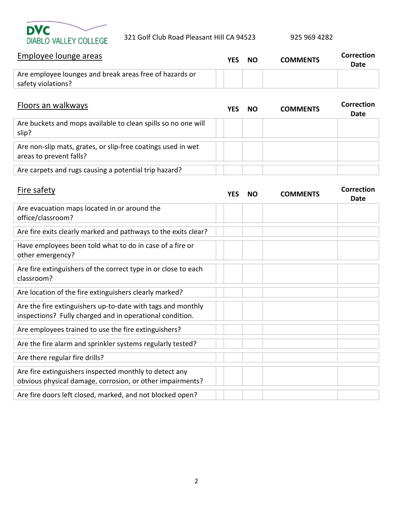

| Employee lounge areas                                                         | YES | <b>NO</b> | <b>COMMENTS</b> | <b>Correction</b><br>Date |
|-------------------------------------------------------------------------------|-----|-----------|-----------------|---------------------------|
| Are employee lounges and break areas free of hazards or<br>safety violations? |     |           |                 |                           |
|                                                                               |     |           |                 |                           |

| Floors an walkways                                                                      | YFS | <b>NO</b> | <b>COMMENTS</b> | Correction<br>Date |
|-----------------------------------------------------------------------------------------|-----|-----------|-----------------|--------------------|
| Are buckets and mops available to clean spills so no one will<br>slip?                  |     |           |                 |                    |
| Are non-slip mats, grates, or slip-free coatings used in wet<br>areas to prevent falls? |     |           |                 |                    |
| Are carpets and rugs causing a potential trip hazard?                                   |     |           |                 |                    |

| Fire safety                                                                                                             | <b>YES</b> | NΟ | <b>COMMENTS</b> | <b>Correction</b><br>Date |
|-------------------------------------------------------------------------------------------------------------------------|------------|----|-----------------|---------------------------|
| Are evacuation maps located in or around the<br>office/classroom?                                                       |            |    |                 |                           |
| Are fire exits clearly marked and pathways to the exits clear?                                                          |            |    |                 |                           |
| Have employees been told what to do in case of a fire or<br>other emergency?                                            |            |    |                 |                           |
| Are fire extinguishers of the correct type in or close to each<br>classroom?                                            |            |    |                 |                           |
| Are location of the fire extinguishers clearly marked?                                                                  |            |    |                 |                           |
| Are the fire extinguishers up-to-date with tags and monthly<br>inspections? Fully charged and in operational condition. |            |    |                 |                           |
| Are employees trained to use the fire extinguishers?                                                                    |            |    |                 |                           |
| Are the fire alarm and sprinkler systems regularly tested?                                                              |            |    |                 |                           |
| Are there regular fire drills?                                                                                          |            |    |                 |                           |
| Are fire extinguishers inspected monthly to detect any<br>obvious physical damage, corrosion, or other impairments?     |            |    |                 |                           |
| Are fire doors left closed, marked, and not blocked open?                                                               |            |    |                 |                           |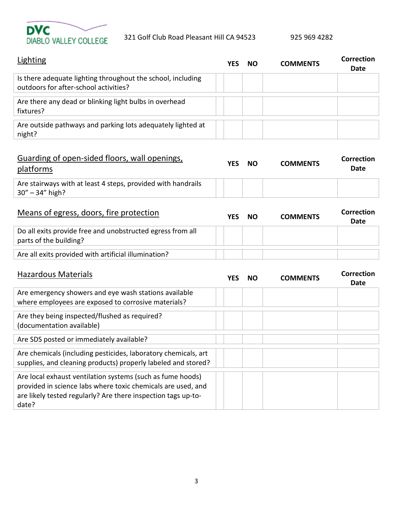

`

| Lighting                                                                                             | YES | <b>NO</b> | <b>COMMENTS</b> | Correction<br>Date |
|------------------------------------------------------------------------------------------------------|-----|-----------|-----------------|--------------------|
| Is there adequate lighting throughout the school, including<br>outdoors for after-school activities? |     |           |                 |                    |
| Are there any dead or blinking light bulbs in overhead<br>fixtures?                                  |     |           |                 |                    |
| Are outside pathways and parking lots adequately lighted at<br>night?                                |     |           |                 |                    |

| Guarding of open-sided floors, wall openings,<br>platforms   | YFS | <b>NO</b> | <b>COMMENTS</b> | Correction<br><b>Date</b> |
|--------------------------------------------------------------|-----|-----------|-----------------|---------------------------|
| Are stairways with at least 4 steps, provided with handrails |     |           |                 |                           |
| $30'' - 34''$ high?                                          |     |           |                 |                           |

| Means of egress, doors, fire protection                                              | <b>YFS</b> | <b>NO</b> | <b>COMMENTS</b> | Correction<br><b>Date</b> |
|--------------------------------------------------------------------------------------|------------|-----------|-----------------|---------------------------|
| Do all exits provide free and unobstructed egress from all<br>parts of the building? |            |           |                 |                           |
| Are all exits provided with artificial illumination?                                 |            |           |                 |                           |

| <b>Hazardous Materials</b>                                     | YL: | NO | COMMENTS | Correction<br>Date |
|----------------------------------------------------------------|-----|----|----------|--------------------|
| Are emergency showers and eye wash stations available          |     |    |          |                    |
| where employees are exposed to corrosive materials?            |     |    |          |                    |
| Are they being inspected/flushed as required?                  |     |    |          |                    |
| (documentation available)                                      |     |    |          |                    |
| Are SDS posted or immediately available?                       |     |    |          |                    |
| Are chemicals (including pesticides, laboratory chemicals, art |     |    |          |                    |
| supplies, and cleaning products) properly labeled and stored?  |     |    |          |                    |
| Are local exhaust ventilation systems (such as fume hoods)     |     |    |          |                    |
| provided in science labs where toxic chemicals are used, and   |     |    |          |                    |
| are likely tested regularly? Are there inspection tags up-to-  |     |    |          |                    |
| date?                                                          |     |    |          |                    |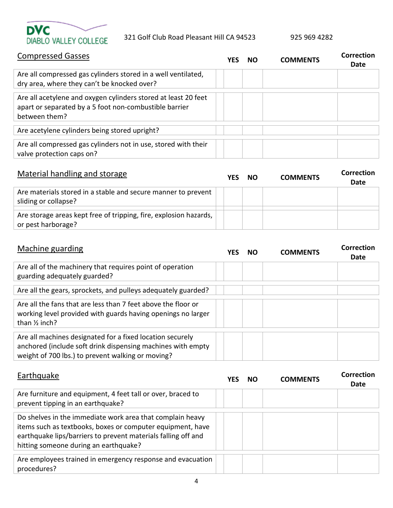

## Compressed Gasses **YES NO COMMENTS Correction Date** Are all compressed gas cylinders stored in a well ventilated, dry area, where they can't be knocked over? Are all acetylene and oxygen cylinders stored at least 20 feet apart or separated by a 5 foot non-combustible barrier between them? Are acetylene cylinders being stored upright? Are all compressed gas cylinders not in use, stored with their valve protection caps on?

| Material handling and storage                                                           | YFS. | - NO | <b>COMMENTS</b> | Correction<br><b>Date</b> |
|-----------------------------------------------------------------------------------------|------|------|-----------------|---------------------------|
| Are materials stored in a stable and secure manner to prevent<br>sliding or collapse?   |      |      |                 |                           |
| Are storage areas kept free of tripping, fire, explosion hazards,<br>or pest harborage? |      |      |                 |                           |

| Machine guarding                                                                                                                                                              | NO | <b>COMMENTS</b> | Correction<br>Date |
|-------------------------------------------------------------------------------------------------------------------------------------------------------------------------------|----|-----------------|--------------------|
| Are all of the machinery that requires point of operation<br>guarding adequately guarded?                                                                                     |    |                 |                    |
| Are all the gears, sprockets, and pulleys adequately guarded?                                                                                                                 |    |                 |                    |
| Are all the fans that are less than 7 feet above the floor or<br>working level provided with guards having openings no larger<br>than $\frac{1}{2}$ inch?                     |    |                 |                    |
| Are all machines designated for a fixed location securely<br>anchored (include soft drink dispensing machines with empty<br>weight of 700 lbs.) to prevent walking or moving? |    |                 |                    |

| Earthquake                                                                                                                                                                                                                        | YES | NΟ | <b>COMMENTS</b> | Correction<br>Date |
|-----------------------------------------------------------------------------------------------------------------------------------------------------------------------------------------------------------------------------------|-----|----|-----------------|--------------------|
| Are furniture and equipment, 4 feet tall or over, braced to<br>prevent tipping in an earthquake?                                                                                                                                  |     |    |                 |                    |
| Do shelves in the immediate work area that complain heavy<br>items such as textbooks, boxes or computer equipment, have<br>earthquake lips/barriers to prevent materials falling off and<br>hitting someone during an earthquake? |     |    |                 |                    |
| Are employees trained in emergency response and evacuation<br>procedures?                                                                                                                                                         |     |    |                 |                    |